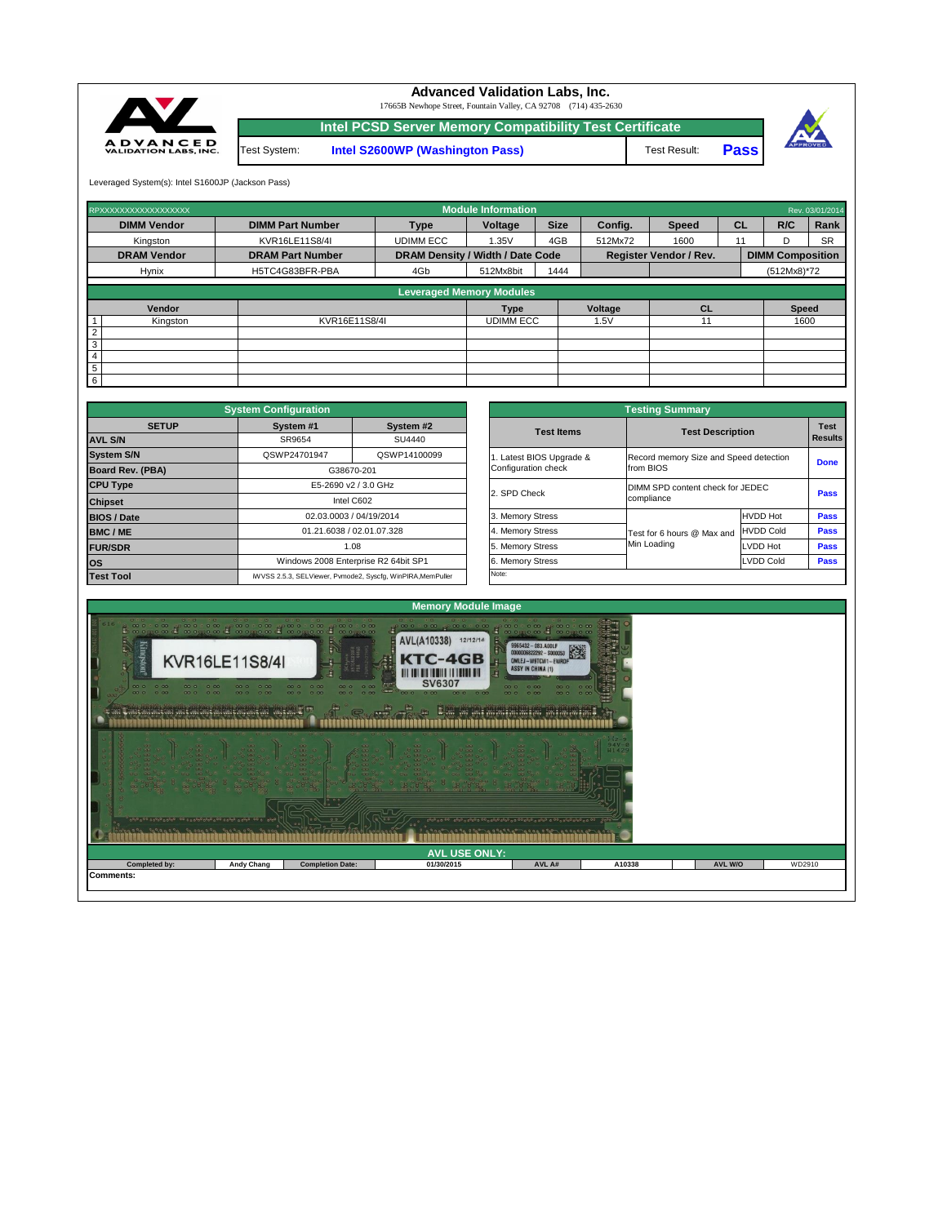| $\frac{1}{2}$<br>20390 90990990 90990990 90990990 90990 010 |                   | <b>COLOR</b><br>00 <sup>o</sup><br>0.0<br>10° 000000 |            | <b>Branche Robinson</b> |        |         |        |  |  |  |
|-------------------------------------------------------------|-------------------|------------------------------------------------------|------------|-------------------------|--------|---------|--------|--|--|--|
| <b>AVL USE ONLY:</b>                                        |                   |                                                      |            |                         |        |         |        |  |  |  |
| Completed by:                                               | <b>Andy Chang</b> | <b>Completion Date:</b>                              | 01/30/2015 | AVL A#                  | A10338 | AVL W/O | WD2910 |  |  |  |
| Comments:                                                   |                   |                                                      |            |                         |        |         |        |  |  |  |



|              | <b>System Configuration</b> |                                                              |                       | <b>Testing Summary</b>           |                                        |  |  |  |
|--------------|-----------------------------|--------------------------------------------------------------|-----------------------|----------------------------------|----------------------------------------|--|--|--|
| <b>SETUP</b> | System #1                   | System #2                                                    | <b>Test Items</b>     | <b>Test Description</b>          |                                        |  |  |  |
|              | SR9654<br>SU4440            |                                                              |                       |                                  |                                        |  |  |  |
|              | QSWP24701947                | QSWP14100099                                                 | Latest BIOS Upgrade & |                                  | Record memory Size and Speed detection |  |  |  |
| <b>BA)</b>   | G38670-201                  |                                                              | Configuration check   | from BIOS                        |                                        |  |  |  |
|              |                             | E5-2690 v2 / 3.0 GHz                                         |                       | DIMM SPD content check for JEDEC |                                        |  |  |  |
|              |                             | Intel C602                                                   | 2. SPD Check          | compliance                       |                                        |  |  |  |
|              |                             |                                                              | 3. Memory Stress      |                                  | <b>HVDD Hot</b>                        |  |  |  |
|              |                             |                                                              | 4. Memory Stress      | Test for 6 hours @ Max and       | <b>HVDD Cold</b>                       |  |  |  |
|              |                             | 02.03.0003 / 04/19/2014<br>01.21.6038 / 02.01.07.328<br>1.08 |                       | Min Loading                      | <b>LVDD Hot</b>                        |  |  |  |
|              |                             | Windows 2008 Enterprise R2 64bit SP1                         | 6. Memory Stress      |                                  | <b>LVDD Cold</b>                       |  |  |  |
|              |                             | iWVSS 2.5.3, SELViewer, Pvmode2, Syscfg, WinPIRA, MemPuller  | Note:                 |                                  |                                        |  |  |  |

|                         | <b>System Configuration</b>                |                                                             |  | <b>Testing Summary</b> |                            |                                        |             |  |  |  |
|-------------------------|--------------------------------------------|-------------------------------------------------------------|--|------------------------|----------------------------|----------------------------------------|-------------|--|--|--|
| <b>SETUP</b>            | System #1<br>System #2<br>SU4440<br>SR9654 |                                                             |  | <b>Test Items</b>      | <b>Test Description</b>    |                                        | <b>Test</b> |  |  |  |
| <b>AVL S/N</b>          |                                            |                                                             |  |                        |                            |                                        |             |  |  |  |
| <b>System S/N</b>       | QSWP24701947                               | QSWP14100099                                                |  | Latest BIOS Upgrade &  |                            | Record memory Size and Speed detection |             |  |  |  |
| <b>Board Rev. (PBA)</b> |                                            | G38670-201                                                  |  | Configuration check    | from BIOS                  |                                        | <b>Done</b> |  |  |  |
| <b>CPU Type</b>         | E5-2690 v2 / 3.0 GHz                       |                                                             |  | 2. SPD Check           |                            | DIMM SPD content check for JEDEC       |             |  |  |  |
| <b>Chipset</b>          |                                            | Intel C602                                                  |  |                        | compliance                 |                                        |             |  |  |  |
| <b>BIOS / Date</b>      |                                            | 02.03.0003 / 04/19/2014                                     |  | 3. Memory Stress       |                            | <b>HVDD Hot</b>                        | <b>Pass</b> |  |  |  |
| <b>BMC/ME</b>           |                                            | 01.21.6038 / 02.01.07.328                                   |  | 4. Memory Stress       | Test for 6 hours @ Max and | <b>HVDD Cold</b>                       | <b>Pass</b> |  |  |  |
| <b>FUR/SDR</b>          |                                            | 1.08                                                        |  | 5. Memory Stress       | Min Loading                | LVDD Hot                               | <b>Pass</b> |  |  |  |
| <b>los</b>              |                                            | Windows 2008 Enterprise R2 64bit SP1                        |  | 6. Memory Stress       |                            | <b>LVDD Cold</b>                       | <b>Pass</b> |  |  |  |
| <b>Test Tool</b>        |                                            | iWVSS 2.5.3, SELViewer, Pvmode2, Syscfg, WinPIRA, MemPuller |  | Note:                  |                            |                                        |             |  |  |  |

| RPXXXXXXXXXXXXXXXXX             |                         |                                         | <b>Module Information</b> |             |                               |              |              |                         | Rev. 03/01/2014 |  |  |
|---------------------------------|-------------------------|-----------------------------------------|---------------------------|-------------|-------------------------------|--------------|--------------|-------------------------|-----------------|--|--|
| <b>DIMM Vendor</b>              | <b>DIMM Part Number</b> |                                         | Voltage                   | <b>Size</b> | Config.                       | <b>Speed</b> | <b>CL</b>    | R/C                     | Rank            |  |  |
| Kingston                        | KVR16LE11S8/4I          | <b>UDIMM ECC</b>                        | 1.35V                     | 4GB         |                               | 1600         | 11           | D                       | <b>SR</b>       |  |  |
| <b>DRAM Vendor</b>              | <b>DRAM Part Number</b> | <b>DRAM Density / Width / Date Code</b> |                           |             | <b>Register Vendor / Rev.</b> |              |              | <b>DIMM Composition</b> |                 |  |  |
| <b>Hynix</b>                    | H5TC4G83BFR-PBA         | 4Gb                                     | 512Mx8bit                 | 1444        |                               |              |              | $(512Mx8)*72$           |                 |  |  |
| <b>Leveraged Memory Modules</b> |                         |                                         |                           |             |                               |              |              |                         |                 |  |  |
|                                 |                         |                                         |                           |             |                               |              |              |                         |                 |  |  |
| Vendor                          |                         |                                         |                           | <b>Type</b> |                               | CL           | <b>Speed</b> |                         |                 |  |  |
| $\mathbf{1}$<br>Kingston        | KVR16E11S8/4I           |                                         | <b>UDIMM ECC</b>          |             | 1.5V                          | 11           |              |                         | 1600            |  |  |
| $\boxed{2}$                     |                         |                                         |                           |             |                               |              |              |                         |                 |  |  |
| $\overline{3}$                  |                         |                                         |                           |             |                               |              |              |                         |                 |  |  |
| $\overline{4}$                  |                         |                                         |                           |             |                               |              |              |                         |                 |  |  |
| $\boxed{5}$                     |                         |                                         |                           |             |                               |              |              |                         |                 |  |  |
| 6                               |                         |                                         |                           |             |                               |              |              |                         |                 |  |  |

Leveraged System(s): Intel S1600JP (Jackson Pass)